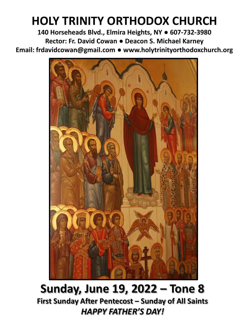# **HOLY TRINITY ORTHODOX CHURCH**

**140 Horseheads Blvd., Elmira Heights, NY ● 607-732-3980 Rector: Fr. David Cowan ● Deacon S. Michael Karney Email: frdavidcowan@gmail.com ● www.holytrinityorthodoxchurch.org**



**Sunday, June 19, 2022 – Tone 8 First Sunday After Pentecost – Sunday of All Saints** *HAPPY FATHER'S DAY!*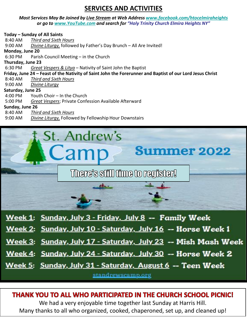## **SERVICES AND ACTIVITIES**

### *Most Services May Be Joined by Live Stream at Web Address [www.facebook.com/htocelmiraheights](http://www.facebook.com/htocelmiraheights) or go to [www.YouTube.com](http://www.youtube.com/) and search for "Holy Trinity Church Elmira Heights NY"*

|                                                                                                           | Today - Sunday of All Saints                                       |  |  |  |  |  |
|-----------------------------------------------------------------------------------------------------------|--------------------------------------------------------------------|--|--|--|--|--|
| 8:40 AM                                                                                                   | Third and Sixth Hours                                              |  |  |  |  |  |
| 9:00 AM                                                                                                   | Divine Liturgy, followed by Father's Day Brunch - All Are Invited! |  |  |  |  |  |
| Monday, June 20                                                                                           |                                                                    |  |  |  |  |  |
| 6:30 PM                                                                                                   | Parish Council Meeting – in the Church                             |  |  |  |  |  |
| Thursday, June 23                                                                                         |                                                                    |  |  |  |  |  |
| 6:30 PM                                                                                                   | Great Vespers & Litya – Nativity of Saint John the Baptist         |  |  |  |  |  |
| Friday, June 24 – Feast of the Nativity of Saint John the Forerunner and Baptist of our Lord Jesus Christ |                                                                    |  |  |  |  |  |
| 8:40 AM                                                                                                   | Third and Sixth Hours                                              |  |  |  |  |  |
| 9:00 AM                                                                                                   | Divine Liturgy                                                     |  |  |  |  |  |
| Saturday, June 25                                                                                         |                                                                    |  |  |  |  |  |
| 4:00 PM                                                                                                   | Youth Choir – In the Church                                        |  |  |  |  |  |
| $5:00$ PM                                                                                                 | Great Vespers; Private Confession Available Afterward              |  |  |  |  |  |
| Sunday, June 26                                                                                           |                                                                    |  |  |  |  |  |
| 8:40 AM                                                                                                   | Third and Sixth Hours                                              |  |  |  |  |  |
| $9:00 \text{ AM}$                                                                                         | Divine Liturgy, Followed by Fellowship Hour Downstairs             |  |  |  |  |  |



- Week 1: Sunday, July 3 Friday, July 8 -- Family Week
- Week 2: Sunday, July 10 Saturday, July 16 -- Horse Week 1
- Week 3: Sunday, July 17 Saturday, July 23 -- Mish Mash Week
- Week 4: Sunday, July 24 Saturday, July 30 -- Horse Week 2

Week 5: Sunday, July 31 - Saturday, August 6 -- Teen Week

standrewscamp.org

## THANK YOU TO ALL WHO PARTICIPATED IN THE CHURCH SCHOOL PICNIC!

We had a very enjoyable time together last Sunday at Harris Hill. Many thanks to all who organized, cooked, chaperoned, set up, and cleaned up!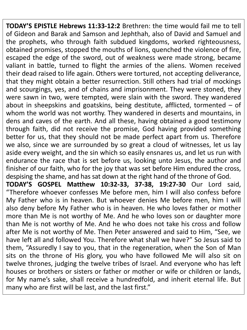**TODAY'S EPISTLE Hebrews 11:33-12:2** Brethren: the time would fail me to tell of Gideon and Barak and Samson and Jephthah, also of David and Samuel and the prophets, who through faith subdued kingdoms, worked righteousness, obtained promises, stopped the mouths of lions, quenched the violence of fire, escaped the edge of the sword, out of weakness were made strong, became valiant in battle, turned to flight the armies of the aliens. Women received their dead raised to life again. Others were tortured, not accepting deliverance, that they might obtain a better resurrection. Still others had trial of mockings and scourgings, yes, and of chains and imprisonment. They were stoned, they were sawn in two, were tempted, were slain with the sword. They wandered about in sheepskins and goatskins, being destitute, afflicted, tormented – of whom the world was not worthy. They wandered in deserts and mountains, in dens and caves of the earth. And all these, having obtained a good testimony through faith, did not receive the promise, God having provided something better for us, that they should not be made perfect apart from us. Therefore we also, since we are surrounded by so great a cloud of witnesses, let us lay aside every weight, and the sin which so easily ensnares us, and let us run with endurance the race that is set before us, looking unto Jesus, the author and finisher of our faith, who for the joy that was set before Him endured the cross, despising the shame, and has sat down at the right hand of the throne of God. **TODAY'S GOSPEL Matthew 10:32-33, 37-38, 19:27-30** Our Lord said, "Therefore whoever confesses Me before men, him I will also confess before My Father who is in heaven. But whoever denies Me before men, him I will also deny before My Father who is in heaven. He who loves father or mother more than Me is not worthy of Me. And he who loves son or daughter more than Me is not worthy of Me. And he who does not take his cross and follow after Me is not worthy of Me. Then Peter answered and said to Him, "See, we have left all and followed You. Therefore what shall we have?" So Jesus said to them, "Assuredly I say to you, that in the regeneration, when the Son of Man sits on the throne of His glory, you who have followed Me will also sit on twelve thrones, judging the twelve tribes of Israel. And everyone who has left houses or brothers or sisters or father or mother or wife or children or lands, for My name's sake, shall receive a hundredfold, and inherit eternal life. But many who are first will be last, and the last first."